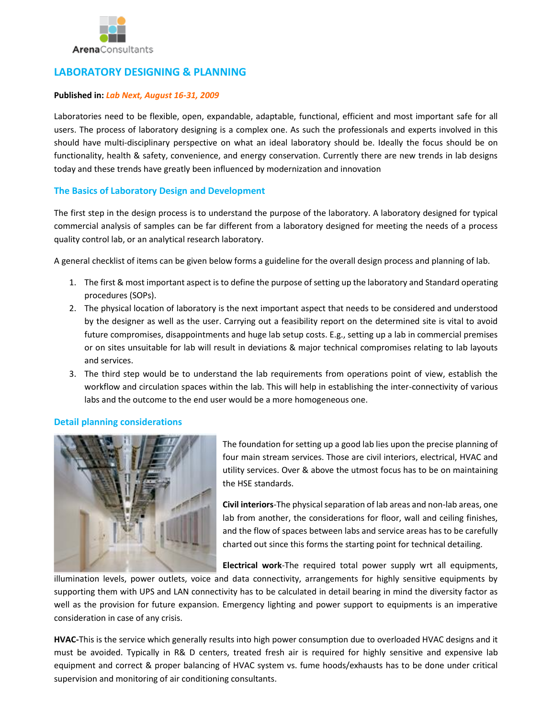

# **LABORATORY DESIGNING & PLANNING**

#### **Published in:** *Lab Next, August 16-31, 2009*

Laboratories need to be flexible, open, expandable, adaptable, functional, efficient and most important safe for all users. The process of laboratory designing is a complex one. As such the professionals and experts involved in this should have multi-disciplinary perspective on what an ideal laboratory should be. Ideally the focus should be on functionality, health & safety, convenience, and energy conservation. Currently there are new trends in lab designs today and these trends have greatly been influenced by modernization and innovation

## **The Basics of Laboratory Design and Development**

The first step in the design process is to understand the purpose of the laboratory. A laboratory designed for typical commercial analysis of samples can be far different from a laboratory designed for meeting the needs of a process quality control lab, or an analytical research laboratory.

A general checklist of items can be given below forms a guideline for the overall design process and planning of lab.

- 1. The first & most important aspect is to define the purpose of setting up the laboratory and Standard operating procedures (SOPs).
- 2. The physical location of laboratory is the next important aspect that needs to be considered and understood by the designer as well as the user. Carrying out a feasibility report on the determined site is vital to avoid future compromises, disappointments and huge lab setup costs. E.g., setting up a lab in commercial premises or on sites unsuitable for lab will result in deviations & major technical compromises relating to lab layouts and services.
- 3. The third step would be to understand the lab requirements from operations point of view, establish the workflow and circulation spaces within the lab. This will help in establishing the inter-connectivity of various labs and the outcome to the end user would be a more homogeneous one.

## **Detail planning considerations**



The foundation for setting up a good lab lies upon the precise planning of four main stream services. Those are civil interiors, electrical, HVAC and utility services. Over & above the utmost focus has to be on maintaining the HSE standards.

**Civil interiors**-The physical separation of lab areas and non-lab areas, one lab from another, the considerations for floor, wall and ceiling finishes, and the flow of spaces between labs and service areas has to be carefully charted out since this forms the starting point for technical detailing.

**Electrical work**-The required total power supply wrt all equipments,

illumination levels, power outlets, voice and data connectivity, arrangements for highly sensitive equipments by supporting them with UPS and LAN connectivity has to be calculated in detail bearing in mind the diversity factor as well as the provision for future expansion. Emergency lighting and power support to equipments is an imperative consideration in case of any crisis.

**HVAC-**This is the service which generally results into high power consumption due to overloaded HVAC designs and it must be avoided. Typically in R& D centers, treated fresh air is required for highly sensitive and expensive lab equipment and correct & proper balancing of HVAC system vs. fume hoods/exhausts has to be done under critical supervision and monitoring of air conditioning consultants.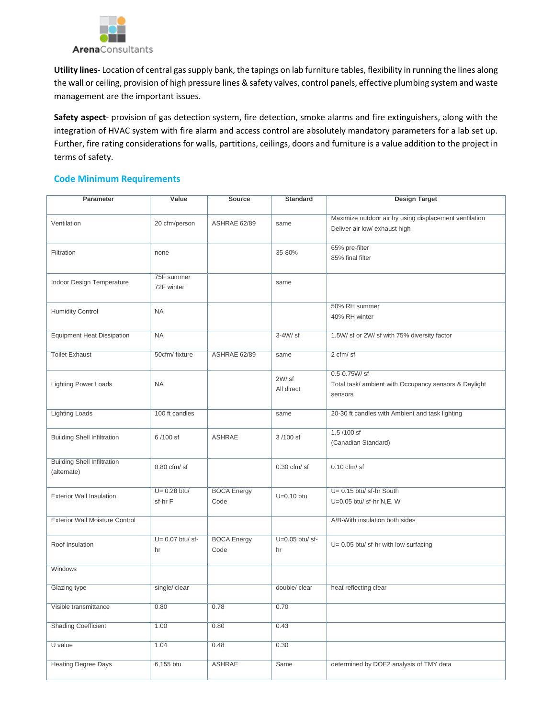

**Utility lines**- Location of central gas supply bank, the tapings on lab furniture tables, flexibility in running the lines along the wall or ceiling, provision of high pressure lines & safety valves, control panels, effective plumbing system and waste management are the important issues.

**Safety aspect**- provision of gas detection system, fire detection, smoke alarms and fire extinguishers, along with the integration of HVAC system with fire alarm and access control are absolutely mandatory parameters for a lab set up. Further, fire rating considerations for walls, partitions, ceilings, doors and furniture is a value addition to the project in terms of safety.

## **Code Minimum Requirements**

| Parameter                                         | Value                     | <b>Source</b>              | <b>Standard</b>        | <b>Design Target</b>                                                                    |
|---------------------------------------------------|---------------------------|----------------------------|------------------------|-----------------------------------------------------------------------------------------|
| Ventilation                                       | 20 cfm/person             | ASHRAE 62/89               | same                   | Maximize outdoor air by using displacement ventilation<br>Deliver air low/ exhaust high |
| Filtration                                        | none                      |                            | 35-80%                 | 65% pre-filter<br>85% final filter                                                      |
| Indoor Design Temperature                         | 75F summer<br>72F winter  |                            | same                   |                                                                                         |
| <b>Humidity Control</b>                           | <b>NA</b>                 |                            |                        | 50% RH summer<br>40% RH winter                                                          |
| <b>Equipment Heat Dissipation</b>                 | <b>NA</b>                 |                            | 3-4W/ sf               | 1.5W/ sf or 2W/ sf with 75% diversity factor                                            |
| <b>Toilet Exhaust</b>                             | 50cfm/fixture             | ASHRAE 62/89               | same                   | 2 cfm/sf                                                                                |
| <b>Lighting Power Loads</b>                       | <b>NA</b>                 |                            | 2W/sf<br>All direct    | $0.5 - 0.75W / s f$<br>Total task/ ambient with Occupancy sensors & Daylight<br>sensors |
| <b>Lighting Loads</b>                             | 100 ft candles            |                            | same                   | 20-30 ft candles with Ambient and task lighting                                         |
| <b>Building Shell Infiltration</b>                | 6/100 sf                  | <b>ASHRAE</b>              | 3/100 sf               | $1.5/100$ sf<br>(Canadian Standard)                                                     |
| <b>Building Shell Infiltration</b><br>(alternate) | $0.80$ cfm/sf             |                            | $0.30$ cfm/sf          | $0.10$ cfm/sf                                                                           |
| <b>Exterior Wall Insulation</b>                   | $U= 0.28$ btu/<br>sf-hr F | <b>BOCA Energy</b><br>Code | $U=0.10$ btu           | U= 0.15 btu/ sf-hr South<br>U=0.05 btu/ sf-hr N,E, W                                    |
| <b>Exterior Wall Moisture Control</b>             |                           |                            |                        | A/B-With insulation both sides                                                          |
| Roof Insulation                                   | $U = 0.07$ btu/sf-<br>hr  | <b>BOCA Energy</b><br>Code | $U=0.05$ btu/sf-<br>hr | U= 0.05 btu/ sf-hr with low surfacing                                                   |
| Windows                                           |                           |                            |                        |                                                                                         |
| <b>Glazing type</b>                               | single/clear              |                            | double/ clear          | heat reflecting clear                                                                   |
| Visible transmittance                             | 0.80                      | 0.78                       | 0.70                   |                                                                                         |
| <b>Shading Coefficient</b>                        | 1.00                      | 0.80                       | 0.43                   |                                                                                         |
| U value                                           | 1.04                      | 0.48                       | 0.30                   |                                                                                         |
| <b>Heating Degree Days</b>                        | 6,155 btu                 | <b>ASHRAE</b>              | Same                   | determined by DOE2 analysis of TMY data                                                 |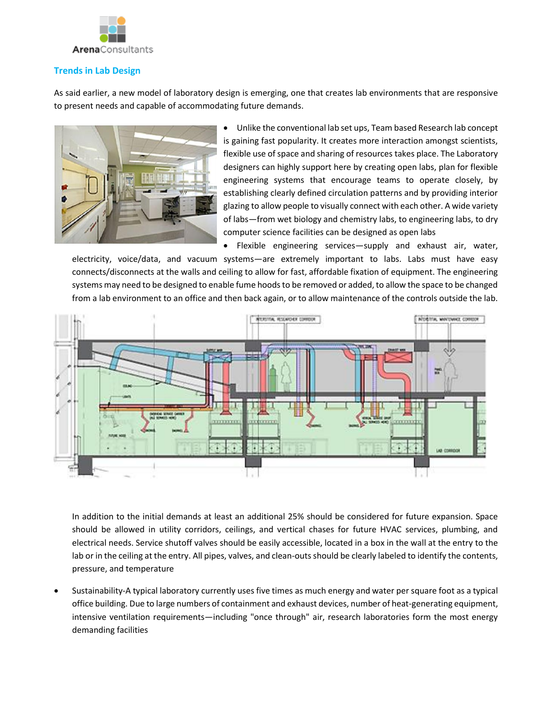

## **Trends in Lab Design**

As said earlier, a new model of laboratory design is emerging, one that creates lab environments that are responsive to present needs and capable of accommodating future demands.



 Unlike the conventional lab set ups, Team based Research lab concept is gaining fast popularity. It creates more interaction amongst scientists, flexible use of space and sharing of resources takes place. The Laboratory designers can highly support here by creating open labs, plan for flexible engineering systems that encourage teams to operate closely, by establishing clearly defined circulation patterns and by providing interior glazing to allow people to visually connect with each other. A wide variety of labs—from wet biology and chemistry labs, to engineering labs, to dry computer science facilities can be designed as open labs

 Flexible engineering services—supply and exhaust air, water, electricity, voice/data, and vacuum systems—are extremely important to labs. Labs must have easy connects/disconnects at the walls and ceiling to allow for fast, affordable fixation of equipment. The engineering systems may need to be designed to enable fume hoods to be removed or added, to allow the space to be changed from a lab environment to an office and then back again, or to allow maintenance of the controls outside the lab.



In addition to the initial demands at least an additional 25% should be considered for future expansion. Space should be allowed in utility corridors, ceilings, and vertical chases for future HVAC services, plumbing, and electrical needs. Service shutoff valves should be easily accessible, located in a box in the wall at the entry to the lab or in the ceiling at the entry. All pipes, valves, and clean-outs should be clearly labeled to identify the contents, pressure, and temperature

 Sustainability-A typical laboratory currently uses five times as much energy and water per square foot as a typical office building. Due to large numbers of containment and exhaust devices, number of heat-generating equipment, intensive ventilation requirements—including "once through" air, research laboratories form the most energy demanding facilities